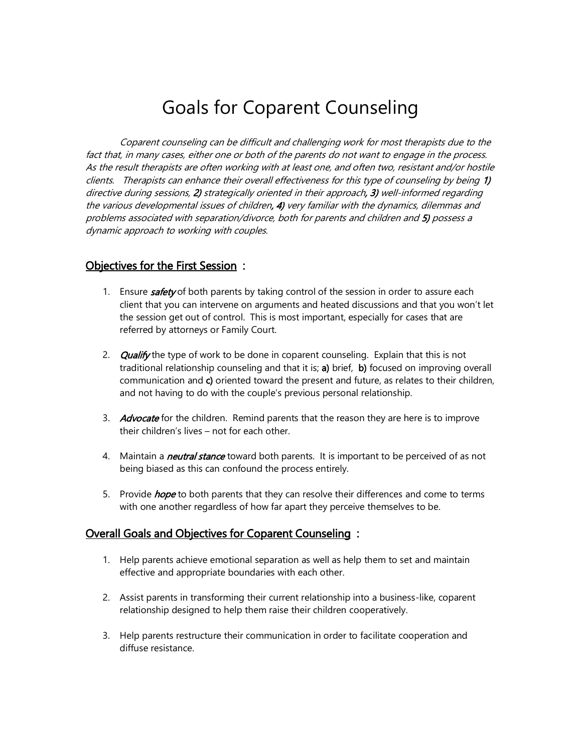## Goals for Coparent Counseling

Coparent counseling can be difficult and challenging work for most therapists due to the fact that, in many cases, either one or both of the parents do not want to engage in the process. As the result therapists are often working with at least one, and often two, resistant and/or hostile clients. Therapists can enhance their overall effectiveness for this type of counseling by being 1) directive during sessions, 2) strategically oriented in their approach, 3) well-informed regarding the various developmental issues of children, 4) very familiar with the dynamics, dilemmas and problems associated with separation/divorce, both for parents and children and 5) possess a dynamic approach to working with couples.

## Objectives for the First Session :

- 1. Ensure **safety** of both parents by taking control of the session in order to assure each client that you can intervene on arguments and heated discussions and that you won't let the session get out of control. This is most important, especially for cases that are referred by attorneys or Family Court.
- 2. Qualify the type of work to be done in coparent counseling. Explain that this is not traditional relationship counseling and that it is; a) brief, b) focused on improving overall communication and c) oriented toward the present and future, as relates to their children, and not having to do with the couple's previous personal relationship.
- 3. Advocate for the children. Remind parents that the reason they are here is to improve their children's lives – not for each other.
- 4. Maintain a *neutral stance* toward both parents. It is important to be perceived of as not being biased as this can confound the process entirely.
- 5. Provide *hope* to both parents that they can resolve their differences and come to terms with one another regardless of how far apart they perceive themselves to be.

## Overall Goals and Objectives for Coparent Counseling :

- 1. Help parents achieve emotional separation as well as help them to set and maintain effective and appropriate boundaries with each other.
- 2. Assist parents in transforming their current relationship into a business-like, coparent relationship designed to help them raise their children cooperatively.
- 3. Help parents restructure their communication in order to facilitate cooperation and diffuse resistance.